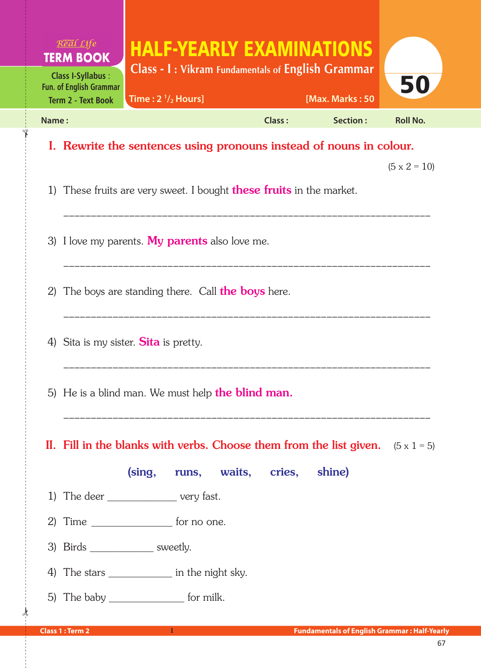| Real Life<br><b>TERM BOOK</b><br><b>Class I-Syllabus:</b>                                   | <b>HALF-YEARLY EXAMINATIONS</b><br><b>Class - I: Vikram Fundamentals of English Grammar</b>                                 |        |                                                     |                     |  |  |
|---------------------------------------------------------------------------------------------|-----------------------------------------------------------------------------------------------------------------------------|--------|-----------------------------------------------------|---------------------|--|--|
| <b>Fun. of English Grammar</b><br>Time: $2 \frac{1}{2}$ Hours]<br><b>Term 2 - Text Book</b> |                                                                                                                             |        | [Max. Marks: 50                                     | 50                  |  |  |
| Name:                                                                                       |                                                                                                                             | Class: | Section:                                            | <b>Roll No.</b>     |  |  |
|                                                                                             | I. Rewrite the sentences using pronouns instead of nouns in colour.                                                         |        |                                                     |                     |  |  |
|                                                                                             | 1) These fruits are very sweet. I bought <b>these fruits</b> in the market.                                                 |        |                                                     | $(5 \times 2 = 10)$ |  |  |
|                                                                                             | 3) I love my parents. My parents also love me.                                                                              |        |                                                     |                     |  |  |
| The boys are standing there. Call <b>the boys</b> here.<br>2)                               |                                                                                                                             |        |                                                     |                     |  |  |
|                                                                                             | 4) Sita is my sister. Sita is pretty.                                                                                       |        |                                                     |                     |  |  |
| 5) He is a blind man. We must help <b>the blind man.</b>                                    |                                                                                                                             |        |                                                     |                     |  |  |
|                                                                                             | II. Fill in the blanks with verbs. Choose them from the list given. $(5 \times 1 = 5)$<br>(sing, runs, waits, cries, shine) |        |                                                     |                     |  |  |
|                                                                                             | 1) The deer ____________________ very fast.                                                                                 |        |                                                     |                     |  |  |
|                                                                                             | 2) Time $\frac{\ }{\ }$ for no one.                                                                                         |        |                                                     |                     |  |  |
| 3) Birds _____________ sweetly.                                                             |                                                                                                                             |        |                                                     |                     |  |  |
|                                                                                             | 4) The stars _______________ in the night sky.                                                                              |        |                                                     |                     |  |  |
|                                                                                             | 5) The baby __________________ for milk.                                                                                    |        |                                                     |                     |  |  |
| <b>Class 1 : Term 2</b>                                                                     | $1 -$                                                                                                                       |        | <b>Fundamentals of English Grammar: Half-Yearly</b> |                     |  |  |

✁

✁

ļ.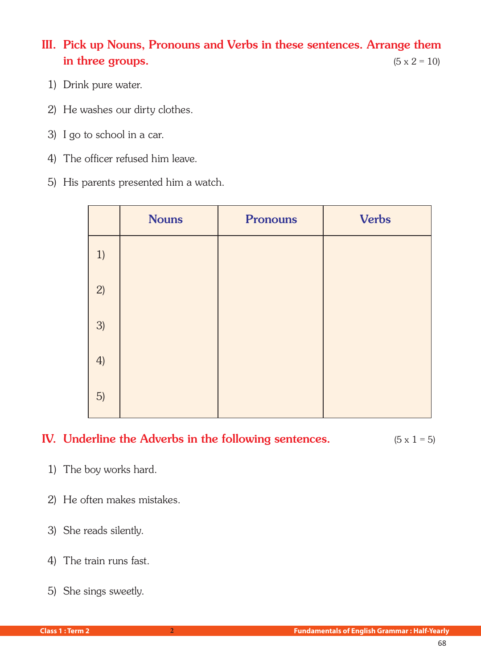III. Pick up Nouns, Pronouns and Verbs in these sentences. Arrange them in three groups.  $(5 \times 2 = 10)$ 

- 1) Drink pure water.
- 2) He washes our dirty clothes.
- 3) I go to school in a car.
- 4) The officer refused him leave.
- 5) His parents presented him a watch.

|    | <b>Nouns</b> | <b>Pronouns</b> | <b>Verbs</b> |
|----|--------------|-----------------|--------------|
| 1) |              |                 |              |
| 2) |              |                 |              |
| 3) |              |                 |              |
| 4) |              |                 |              |
| 5) |              |                 |              |

## IV. Underline the Adverbs in the following sentences.  $(5 \times 1 = 5)$

- 1) The boy works hard.
- 2) He often makes mistakes.
- 3) She reads silently.
- 4) The train runs fast.
- 5) She sings sweetly.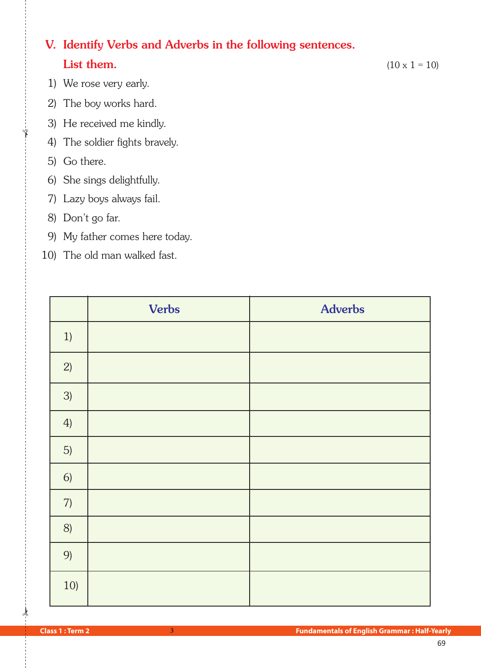## V. Identify Verbs and Adverbs in the following sentences. **List them.** (10 x 1 = 10)

- 1) We rose very early.
- 2) The boy works hard.
- 3) He received me kindly.
- 4) The soldier fights bravely.
- 5) Go there.

✁

- 6) She sings delightfully.
- 7) Lazy boys always fail.
- 8) Don't go far.
- 9) My father comes here today.
- 10) The old man walked fast.

|      | <b>Verbs</b> | <b>Adverbs</b> |
|------|--------------|----------------|
| 1)   |              |                |
| 2)   |              |                |
| 3)   |              |                |
| 4)   |              |                |
| 5)   |              |                |
| 6)   |              |                |
| $7)$ |              |                |
| 8)   |              |                |
| 9)   |              |                |
| 10)  |              |                |

 $\star$